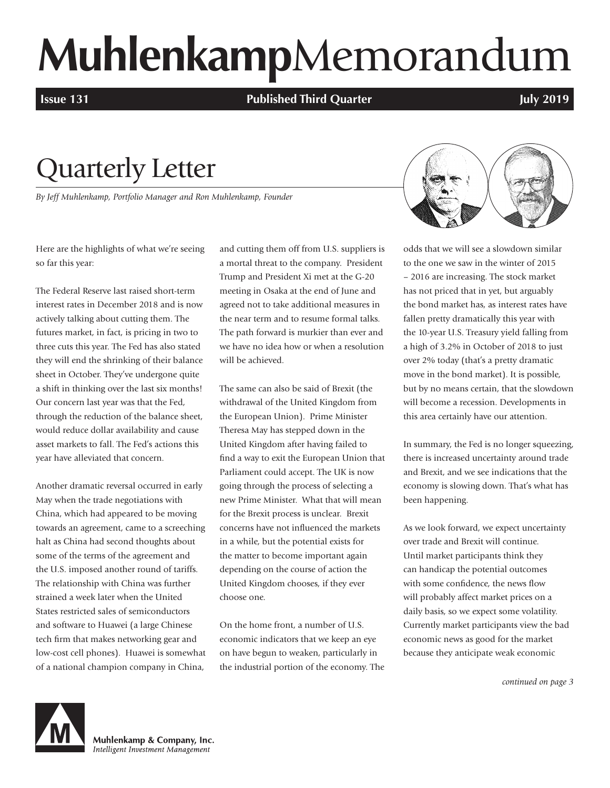# **Muhlenkamp**Memorandum

**Issue 131 Published Third Quarter** *COMPONER 131* **<b>July 2019** 

## Quarterly Letter

*By Jeff Muhlenkamp, Portfolio Manager and Ron Muhlenkamp, Founder*

Here are the highlights of what we're seeing so far this year:

The Federal Reserve last raised short-term interest rates in December 2018 and is now actively talking about cutting them. The futures market, in fact, is pricing in two to three cuts this year. The Fed has also stated they will end the shrinking of their balance sheet in October. They've undergone quite a shift in thinking over the last six months! Our concern last year was that the Fed, through the reduction of the balance sheet, would reduce dollar availability and cause asset markets to fall. The Fed's actions this year have alleviated that concern.

Another dramatic reversal occurred in early May when the trade negotiations with China, which had appeared to be moving towards an agreement, came to a screeching halt as China had second thoughts about some of the terms of the agreement and the U.S. imposed another round of tariffs. The relationship with China was further strained a week later when the United States restricted sales of semiconductors and software to Huawei (a large Chinese tech firm that makes networking gear and low-cost cell phones). Huawei is somewhat of a national champion company in China,

and cutting them off from U.S. suppliers is a mortal threat to the company. President Trump and President Xi met at the G-20 meeting in Osaka at the end of June and agreed not to take additional measures in the near term and to resume formal talks. The path forward is murkier than ever and we have no idea how or when a resolution will be achieved.

The same can also be said of Brexit (the withdrawal of the United Kingdom from the European Union). Prime Minister Theresa May has stepped down in the United Kingdom after having failed to find a way to exit the European Union that Parliament could accept. The UK is now going through the process of selecting a new Prime Minister. What that will mean for the Brexit process is unclear. Brexit concerns have not influenced the markets in a while, but the potential exists for the matter to become important again depending on the course of action the United Kingdom chooses, if they ever choose one.

On the home front, a number of U.S. economic indicators that we keep an eye on have begun to weaken, particularly in the industrial portion of the economy. The



odds that we will see a slowdown similar to the one we saw in the winter of 2015 – 2016 are increasing. The stock market has not priced that in yet, but arguably the bond market has, as interest rates have fallen pretty dramatically this year with the 10-year U.S. Treasury yield falling from a high of 3.2% in October of 2018 to just over 2% today (that's a pretty dramatic move in the bond market). It is possible, but by no means certain, that the slowdown will become a recession. Developments in this area certainly have our attention.

In summary, the Fed is no longer squeezing, there is increased uncertainty around trade and Brexit, and we see indications that the economy is slowing down. That's what has been happening.

As we look forward, we expect uncertainty over trade and Brexit will continue. Until market participants think they can handicap the potential outcomes with some confidence, the news flow will probably affect market prices on a daily basis, so we expect some volatility. Currently market participants view the bad economic news as good for the market because they anticipate weak economic

*continued on page 3*



Muhlenkamp & Company, Inc. Intelligent Investment Management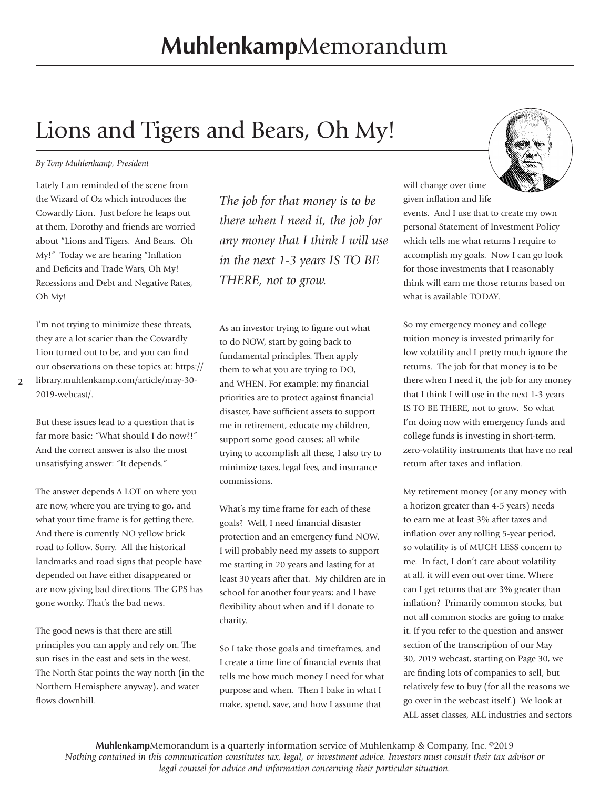## Lions and Tigers and Bears, Oh My!

#### *By Tony Muhlenkamp, President*

Lately I am reminded of the scene from the Wizard of Oz which introduces the Cowardly Lion. Just before he leaps out at them, Dorothy and friends are worried about "Lions and Tigers. And Bears. Oh My!" Today we are hearing "Inflation and Deficits and Trade Wars, Oh My! Recessions and Debt and Negative Rates, Oh My!

I'm not trying to minimize these threats, they are a lot scarier than the Cowardly Lion turned out to be, and you can find our observations on these topics at: https://

**2**

library.muhlenkamp.com/article/may-30- 2019-webcast/.

But these issues lead to a question that is far more basic: "What should I do now?!" And the correct answer is also the most unsatisfying answer: "It depends."

The answer depends A LOT on where you are now, where you are trying to go, and what your time frame is for getting there. And there is currently NO yellow brick road to follow. Sorry. All the historical landmarks and road signs that people have depended on have either disappeared or are now giving bad directions. The GPS has gone wonky. That's the bad news.

The good news is that there are still principles you can apply and rely on. The sun rises in the east and sets in the west. The North Star points the way north (in the Northern Hemisphere anyway), and water flows downhill.

*The job for that money is to be there when I need it, the job for any money that I think I will use in the next 1-3 years IS TO BE THERE, not to grow.*

As an investor trying to figure out what to do NOW, start by going back to fundamental principles. Then apply them to what you are trying to DO, and WHEN. For example: my financial priorities are to protect against financial disaster, have sufficient assets to support me in retirement, educate my children, support some good causes; all while trying to accomplish all these, I also try to minimize taxes, legal fees, and insurance commissions.

What's my time frame for each of these goals? Well, I need financial disaster protection and an emergency fund NOW. I will probably need my assets to support me starting in 20 years and lasting for at least 30 years after that. My children are in school for another four years; and I have flexibility about when and if I donate to charity.

So I take those goals and timeframes, and I create a time line of financial events that tells me how much money I need for what purpose and when. Then I bake in what I make, spend, save, and how I assume that



will change over time given inflation and life

events. And I use that to create my own personal Statement of Investment Policy which tells me what returns I require to accomplish my goals. Now I can go look for those investments that I reasonably think will earn me those returns based on what is available TODAY.

So my emergency money and college tuition money is invested primarily for low volatility and I pretty much ignore the returns. The job for that money is to be there when I need it, the job for any money that I think I will use in the next 1-3 years IS TO BE THERE, not to grow. So what I'm doing now with emergency funds and college funds is investing in short-term, zero-volatility instruments that have no real return after taxes and inflation.

My retirement money (or any money with a horizon greater than 4-5 years) needs to earn me at least 3% after taxes and inflation over any rolling 5-year period, so volatility is of MUCH LESS concern to me. In fact, I don't care about volatility at all, it will even out over time. Where can I get returns that are 3% greater than inflation? Primarily common stocks, but not all common stocks are going to make it. If you refer to the question and answer section of the transcription of our May 30, 2019 webcast, starting on Page 30, we are finding lots of companies to sell, but relatively few to buy (for all the reasons we go over in the webcast itself.) We look at ALL asset classes, ALL industries and sectors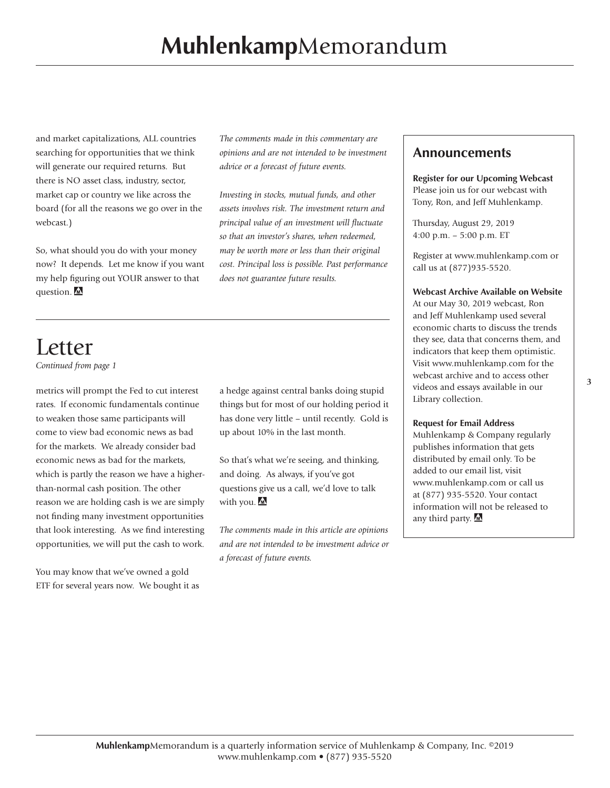and market capitalizations, ALL countries searching for opportunities that we think will generate our required returns. But there is NO asset class, industry, sector, market cap or country we like across the board (for all the reasons we go over in the webcast.)

So, what should you do with your money now? It depends. Let me know if you want my help figuring out YOUR answer to that question.

*The comments made in this commentary are opinions and are not intended to be investment advice or a forecast of future events.*

*Investing in stocks, mutual funds, and other assets involves risk. The investment return and principal value of an investment will fluctuate so that an investor's shares, when redeemed, may be worth more or less than their original cost. Principal loss is possible. Past performance does not guarantee future results.*

### Letter *Continued from page 1*

metrics will prompt the Fed to cut interest rates. If economic fundamentals continue to weaken those same participants will come to view bad economic news as bad for the markets. We already consider bad economic news as bad for the markets, which is partly the reason we have a higherthan-normal cash position. The other reason we are holding cash is we are simply not finding many investment opportunities that look interesting. As we find interesting opportunities, we will put the cash to work.

You may know that we've owned a gold ETF for several years now. We bought it as a hedge against central banks doing stupid things but for most of our holding period it has done very little – until recently. Gold is up about 10% in the last month.

So that's what we're seeing, and thinking, and doing. As always, if you've got questions give us a call, we'd love to talk with you.

*The comments made in this article are opinions and are not intended to be investment advice or a forecast of future events.*

#### **Announcements**

**Register for our Upcoming Webcast**  Please join us for our webcast with Tony, Ron, and Jeff Muhlenkamp.

Thursday, August 29, 2019 4:00 p.m. – 5:00 p.m. ET

Register at [www.muhlenkamp.com](http://www.muhlenkamp.com) or call us at (877)935-5520.

#### **Webcast Archive Available on Website**

At our May 30, 2019 webcast, Ron and Jeff Muhlenkamp used several economic charts to discuss the trends they see, data that concerns them, and indicators that keep them optimistic. Visit www.muhlenkamp.com for the webcast archive and to access other videos and essays available in our Library collection.

#### **Request for Email Address**

Muhlenkamp & Company regularly publishes information that gets distributed by email only. To be added to our email list, visit www.muhlenkamp.com or call us at (877) 935-5520. Your contact information will not be released to any third party. M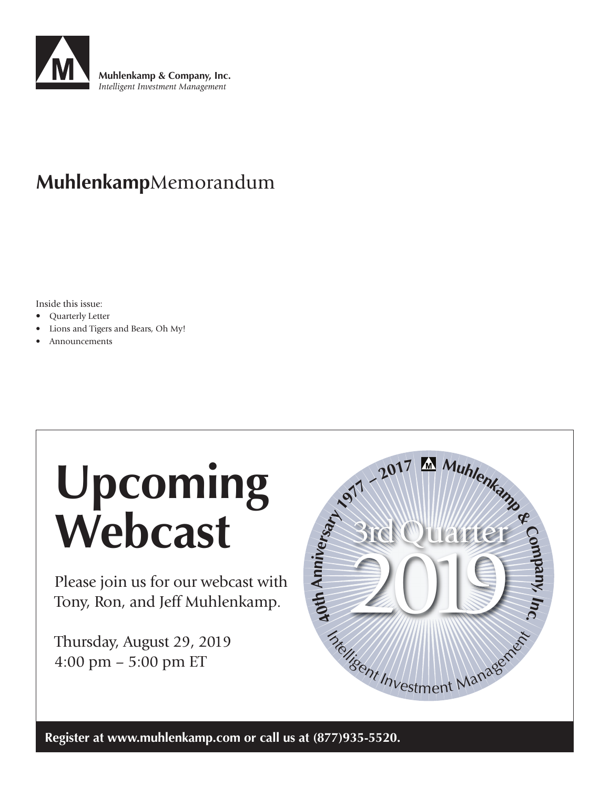

## **Muhlenkamp**Memorandum

Inside this issue:

- Quarterly Letter
- Lions and Tigers and Bears, Oh My!
- Announcements

# **Upcoming Webcast**

Please join us for our webcast with Tony, Ron, and Jeff Muhlenkamp.

Thursday, August 29, 2019 4:00 pm – 5:00 pm ET



**Register at [www.muhlenkamp.com](http://www.muhlenkamp.com) or call us at (877)935-5520.**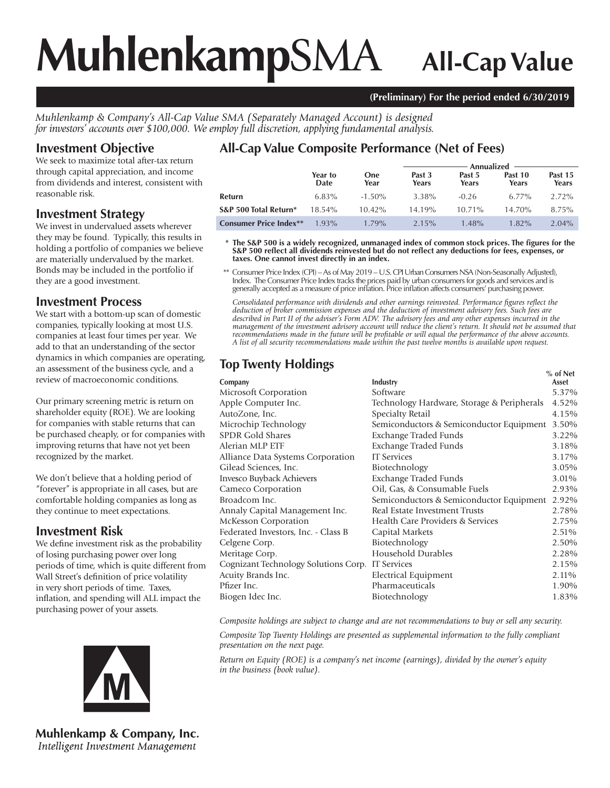# **Muhlenkamp**SMA **All-Cap Value**

#### **(Preliminary) For the period ended 6/30/2019**

*Muhlenkamp & Company's All-Cap Value SMA (Separately Managed Account) is designed for investors' accounts over \$100,000. We employ full discretion, applying fundamental analysis.*

#### **Investment Objective**

We seek to maximize total after-tax return through capital appreciation, and income from dividends and interest, consistent with reasonable risk.

#### **Investment Strategy**

We invest in undervalued assets wherever they may be found. Typically, this results in holding a portfolio of companies we believe are materially undervalued by the market. Bonds may be included in the portfolio if they are a good investment.

#### **Investment Process**

We start with a bottom-up scan of domestic companies, typically looking at most U.S. companies at least four times per year. We add to that an understanding of the sector dynamics in which companies are operating, an assessment of the business cycle, and a review of macroeconomic conditions.

Our primary screening metric is return on shareholder equity (ROE). We are looking for companies with stable returns that can be purchased cheaply, or for companies with improving returns that have not yet been recognized by the market.

We don't believe that a holding period of "forever" is appropriate in all cases, but are comfortable holding companies as long as they continue to meet expectations.

#### **Investment Risk**

We define investment risk as the probability of losing purchasing power over long periods of time, which is quite different from Wall Street's definition of price volatility in very short periods of time. Taxes, inflation, and spending will ALL impact the purchasing power of your assets.



**Muhlenkamp & Company, Inc.** Intelligent Investment Management

### **All-Cap Value Composite Performance (Net of Fees)**

|                               |                 |                    | Annualized      |                 |                  |                  |  |
|-------------------------------|-----------------|--------------------|-----------------|-----------------|------------------|------------------|--|
|                               | Year to<br>Date | <b>One</b><br>Year | Past 3<br>Years | Past 5<br>Years | Past 10<br>Years | Past 15<br>Years |  |
| Refurn                        | $6.83\%$        | $-1.50\%$          | 3.38%           | $-0.26$         | $6.77\%$         | $2.72\%$         |  |
| S&P 500 Total Return*         | 18.54%          | $10.42\%$          | 14.19%          | $10.71\%$       | 14.70%           | 8.75%            |  |
| <b>Consumer Price Index**</b> | $1.93\%$        | 1.79%              | $2.15\%$        | $1.48\%$        | $1.82\%$         | $2.04\%$         |  |

 **\* The S&P 500 is a widely recognized, unmanaged index of common stock prices. The figures for the S&P 500 reflect all dividends reinvested but do not reflect any deductions for fees, expenses, or taxes. One cannot invest directly in an index.**

 \*\* Consumer Price Index (CPI) – As of May 2019 – U.S. CPI Urban Consumers NSA (Non-Seasonally Adjusted), Index. The Consumer Price Index tracks the prices paid by urban consumers for goods and services and is generally accepted as a measure of price inflation. Price inflation affects consumers' purchasing power.

*Consolidated performance with dividends and other earnings reinvested. Performance figures reflect the deduction of broker commission expenses and the deduction of investment advisory fees. Such fees are described in Part II of the adviser's Form ADV. The advisory fees and any other expenses incurred in the management of the investment advisory account will reduce the client's return. It should not be assumed that recommendations made in the future will be profitable or will equal the performance of the above accounts. A list of all security recommendations made within the past twelve months is available upon request.*

### **Top Twenty Holdings** *Metal* **<b>CONE**

|                                                  |                                            | % of Net |
|--------------------------------------------------|--------------------------------------------|----------|
| Company                                          | Industry                                   | Asset    |
| Microsoft Corporation                            | Software                                   | 5.37%    |
| Apple Computer Inc.                              | Technology Hardware, Storage & Peripherals | 4.52%    |
| AutoZone, Inc.                                   | Specialty Retail                           | 4.15%    |
| Microchip Technology                             | Semiconductors & Semiconductor Equipment   | 3.50%    |
| <b>SPDR Gold Shares</b>                          | Exchange Traded Funds                      | 3.22%    |
| Alerian MLP ETF                                  | <b>Exchange Traded Funds</b>               | 3.18%    |
| Alliance Data Systems Corporation                | <b>IT</b> Services                         | 3.17%    |
| Gilead Sciences, Inc.                            | Biotechnology                              | 3.05%    |
| Invesco Buyback Achievers                        | Exchange Traded Funds                      | 3.01%    |
| Cameco Corporation                               | Oil, Gas, & Consumable Fuels               | 2.93%    |
| Broadcom Inc.                                    | Semiconductors & Semiconductor Equipment   | 2.92%    |
| Annaly Capital Management Inc.                   | Real Estate Investment Trusts              | 2.78%    |
| McKesson Corporation                             | Health Care Providers & Services           | 2.75%    |
| Federated Investors, Inc. - Class B              | Capital Markets                            | 2.51%    |
| Celgene Corp.                                    | Biotechnology                              | 2.50%    |
| Meritage Corp.                                   | Household Durables                         | 2.28%    |
| Cognizant Technology Solutions Corp. IT Services |                                            | 2.15%    |
| Acuity Brands Inc.                               | <b>Electrical Equipment</b>                | 2.11%    |
| Pfizer Inc.                                      | Pharmaceuticals                            | 1.90%    |
| Biogen Idec Inc.                                 | Biotechnology                              | 1.83%    |
|                                                  |                                            |          |

*Composite holdings are subject to change and are not recommendations to buy or sell any security.*

*Composite Top Twenty Holdings are presented as supplemental information to the fully compliant presentation on the next page.*

*Return on Equity (ROE) is a company's net income (earnings), divided by the owner's equity in the business (book value).*